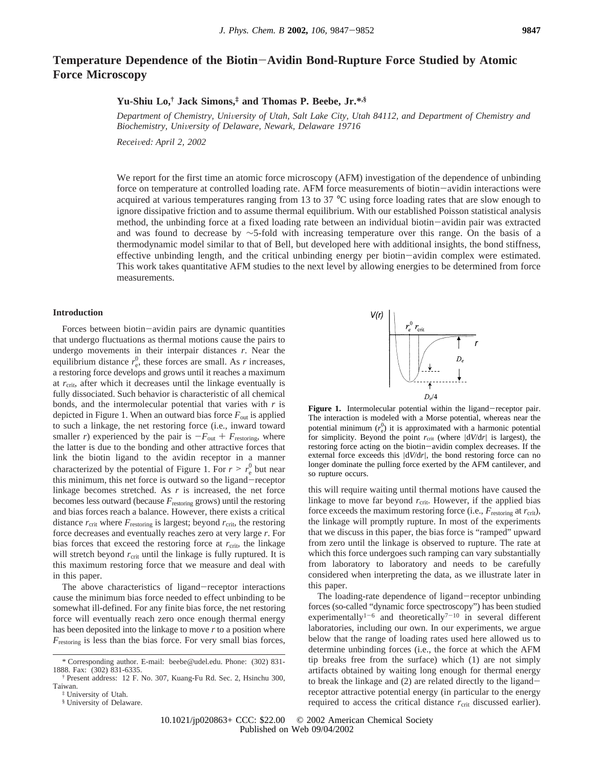# **Temperature Dependence of the Biotin**-**Avidin Bond-Rupture Force Studied by Atomic Force Microscopy**

# **Yu-Shiu Lo,† Jack Simons,‡ and Thomas P. Beebe, Jr.\*,§**

*Department of Chemistry, Uni*V*ersity of Utah, Salt Lake City, Utah 84112, and Department of Chemistry and Biochemistry, Uni*V*ersity of Delaware, Newark, Delaware 19716*

*Recei*V*ed: April 2, 2002*

We report for the first time an atomic force microscopy (AFM) investigation of the dependence of unbinding force on temperature at controlled loading rate. AFM force measurements of biotin-avidin interactions were acquired at various temperatures ranging from 13 to 37 °C using force loading rates that are slow enough to ignore dissipative friction and to assume thermal equilibrium. With our established Poisson statistical analysis method, the unbinding force at a fixed loading rate between an individual biotin-avidin pair was extracted and was found to decrease by ∼5-fold with increasing temperature over this range. On the basis of a thermodynamic model similar to that of Bell, but developed here with additional insights, the bond stiffness, effective unbinding length, and the critical unbinding energy per biotin-avidin complex were estimated. This work takes quantitative AFM studies to the next level by allowing energies to be determined from force measurements.

#### **Introduction**

Forces between biotin-avidin pairs are dynamic quantities that undergo fluctuations as thermal motions cause the pairs to undergo movements in their interpair distances *r*. Near the equilibrium distance  $r_e^0$ , these forces are small. As *r* increases, a restoring force develops and grows until it reaches a maximum at *r*crit, after which it decreases until the linkage eventually is fully dissociated. Such behavior is characteristic of all chemical bonds, and the intermolecular potential that varies with *r* is depicted in Figure 1. When an outward bias force *F*out is applied to such a linkage, the net restoring force (i.e., inward toward smaller *r*) experienced by the pair is  $-F_{out} + F_{restoring}$ , where the latter is due to the bonding and other attractive forces that link the biotin ligand to the avidin receptor in a manner characterized by the potential of Figure 1. For  $r > r_e^0$  but near this minimum this net force is outward so the ligand–receptor this minimum, this net force is outward so the ligand-receptor linkage becomes stretched. As *r* is increased, the net force becomes less outward (because *F*restoring grows) until the restoring and bias forces reach a balance. However, there exists a critical distance *r*crit where *F*restoring is largest; beyond *r*crit, the restoring force decreases and eventually reaches zero at very large *r*. For bias forces that exceed the restoring force at  $r_{\text{crit}}$ , the linkage will stretch beyond  $r_{\text{crit}}$  until the linkage is fully ruptured. It is this maximum restoring force that we measure and deal with in this paper.

The above characteristics of ligand-receptor interactions cause the minimum bias force needed to effect unbinding to be somewhat ill-defined. For any finite bias force, the net restoring force will eventually reach zero once enough thermal energy has been deposited into the linkage to move *r* to a position where *F*restoring is less than the bias force. For very small bias forces,



Figure 1. Intermolecular potential within the ligand-receptor pair. The interaction is modeled with a Morse potential, whereas near the potential minimum  $(r_e^0)$  it is approximated with a harmonic potential for simplicity. Beyond the point  $r_{\text{crit}}$  (where  $|dV/dr|$  is largest), the restoring force acting on the biotin-avidin complex decreases. If the external force exceeds this |d*V*/d*r*|, the bond restoring force can no longer dominate the pulling force exerted by the AFM cantilever, and so rupture occurs.

this will require waiting until thermal motions have caused the linkage to move far beyond  $r_{\text{crit}}$ . However, if the applied bias force exceeds the maximum restoring force (i.e., *F*restoring at *r*crit), the linkage will promptly rupture. In most of the experiments that we discuss in this paper, the bias force is "ramped" upward from zero until the linkage is observed to rupture. The rate at which this force undergoes such ramping can vary substantially from laboratory to laboratory and needs to be carefully considered when interpreting the data, as we illustrate later in this paper.

The loading-rate dependence of ligand-receptor unbinding forces (so-called "dynamic force spectroscopy") has been studied experimentally<sup>1-6</sup> and theoretically<sup>7-10</sup> in several different laboratories, including our own. In our experiments, we argue below that the range of loading rates used here allowed us to determine unbinding forces (i.e., the force at which the AFM tip breaks free from the surface) which (1) are not simply artifacts obtained by waiting long enough for thermal energy to break the linkage and (2) are related directly to the ligandreceptor attractive potential energy (in particular to the energy required to access the critical distance  $r_{\text{crit}}$  discussed earlier).

<sup>\*</sup> Corresponding author. E-mail: beebe@udel.edu. Phone: (302) 831- 1888. Fax: (302) 831-6335.

<sup>†</sup> Present address: 12 F. No. 307, Kuang-Fu Rd. Sec. 2, Hsinchu 300, Taiwan.

<sup>‡</sup> University of Utah.

<sup>§</sup> University of Delaware.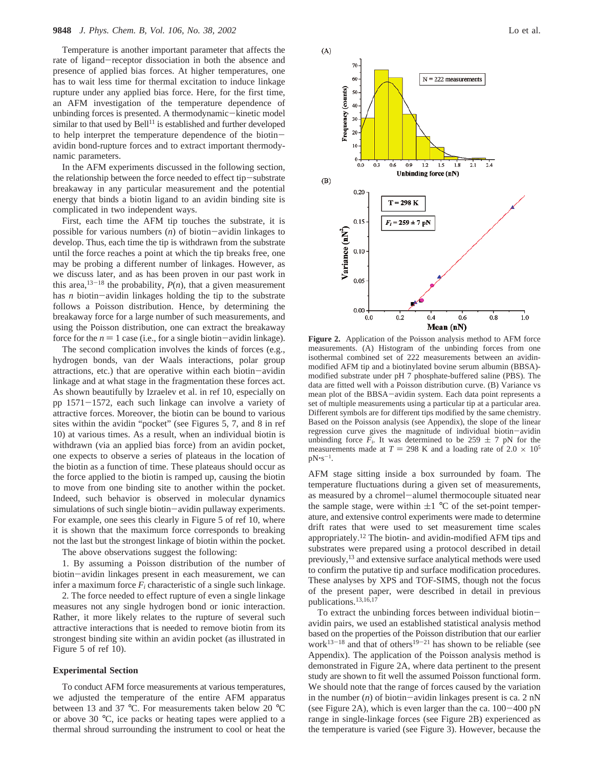Temperature is another important parameter that affects the rate of ligand-receptor dissociation in both the absence and presence of applied bias forces. At higher temperatures, one has to wait less time for thermal excitation to induce linkage rupture under any applied bias force. Here, for the first time, an AFM investigation of the temperature dependence of unbinding forces is presented. A thermodynamic-kinetic model similar to that used by  $Bell^{11}$  is established and further developed to help interpret the temperature dependence of the biotinavidin bond-rupture forces and to extract important thermodynamic parameters.

In the AFM experiments discussed in the following section, the relationship between the force needed to effect tip-substrate breakaway in any particular measurement and the potential energy that binds a biotin ligand to an avidin binding site is complicated in two independent ways.

First, each time the AFM tip touches the substrate, it is possible for various numbers (*n*) of biotin-avidin linkages to develop. Thus, each time the tip is withdrawn from the substrate until the force reaches a point at which the tip breaks free, one may be probing a different number of linkages. However, as we discuss later, and as has been proven in our past work in this area,<sup>13-18</sup> the probability,  $P(n)$ , that a given measurement has *n* biotin-avidin linkages holding the tip to the substrate follows a Poisson distribution. Hence, by determining the breakaway force for a large number of such measurements, and using the Poisson distribution, one can extract the breakaway force for the  $n = 1$  case (i.e., for a single biotin-avidin linkage).

The second complication involves the kinds of forces (e.g., hydrogen bonds, van der Waals interactions, polar group attractions, etc.) that are operative within each biotin-avidin linkage and at what stage in the fragmentation these forces act. As shown beautifully by Izraelev et al. in ref 10, especially on pp 1571-1572, each such linkage can involve a variety of attractive forces. Moreover, the biotin can be bound to various sites within the avidin "pocket" (see Figures 5, 7, and 8 in ref 10) at various times. As a result, when an individual biotin is withdrawn (via an applied bias force) from an avidin pocket, one expects to observe a series of plateaus in the location of the biotin as a function of time. These plateaus should occur as the force applied to the biotin is ramped up, causing the biotin to move from one binding site to another within the pocket. Indeed, such behavior is observed in molecular dynamics simulations of such single biotin-avidin pullaway experiments. For example, one sees this clearly in Figure 5 of ref 10, where it is shown that the maximum force corresponds to breaking not the last but the strongest linkage of biotin within the pocket.

The above observations suggest the following:

1. By assuming a Poisson distribution of the number of biotin-avidin linkages present in each measurement, we can infer a maximum force  $F_i$  characteristic of a single such linkage.

2. The force needed to effect rupture of even a single linkage measures not any single hydrogen bond or ionic interaction. Rather, it more likely relates to the rupture of several such attractive interactions that is needed to remove biotin from its strongest binding site within an avidin pocket (as illustrated in Figure 5 of ref 10).

## **Experimental Section**

To conduct AFM force measurements at various temperatures, we adjusted the temperature of the entire AFM apparatus between 13 and 37 °C. For measurements taken below 20 °C or above 30 °C, ice packs or heating tapes were applied to a thermal shroud surrounding the instrument to cool or heat the



**Figure 2.** Application of the Poisson analysis method to AFM force measurements. (A) Histogram of the unbinding forces from one isothermal combined set of 222 measurements between an avidinmodified AFM tip and a biotinylated bovine serum albumin (BBSA) modified substrate under pH 7 phosphate-buffered saline (PBS). The data are fitted well with a Poisson distribution curve. (B) Variance vs mean plot of the BBSA-avidin system. Each data point represents a set of multiple measurements using a particular tip at a particular area. Different symbols are for different tips modified by the same chemistry. Based on the Poisson analysis (see Appendix), the slope of the linear regression curve gives the magnitude of individual biotin-avidin unbinding force  $F_i$ . It was determined to be 259  $\pm$  7 pN for the measurements made at  $T = 298$  K and a loading rate of  $2.0 \times 10^5$  $pN\cdot s^{-1}$ .

AFM stage sitting inside a box surrounded by foam. The temperature fluctuations during a given set of measurements, as measured by a chromel-alumel thermocouple situated near the sample stage, were within  $\pm 1$  °C of the set-point temperature, and extensive control experiments were made to determine drift rates that were used to set measurement time scales appropriately.12 The biotin- and avidin-modified AFM tips and substrates were prepared using a protocol described in detail previously,13 and extensive surface analytical methods were used to confirm the putative tip and surface modification procedures. These analyses by XPS and TOF-SIMS, though not the focus of the present paper, were described in detail in previous publications.13,16,17

To extract the unbinding forces between individual biotinavidin pairs, we used an established statistical analysis method based on the properties of the Poisson distribution that our earlier work<sup>13-18</sup> and that of others<sup>19-21</sup> has shown to be reliable (see Appendix). The application of the Poisson analysis method is demonstrated in Figure 2A, where data pertinent to the present study are shown to fit well the assumed Poisson functional form. We should note that the range of forces caused by the variation in the number  $(n)$  of biotin-avidin linkages present is ca. 2 nN (see Figure 2A), which is even larger than the ca.  $100-400$  pN range in single-linkage forces (see Figure 2B) experienced as the temperature is varied (see Figure 3). However, because the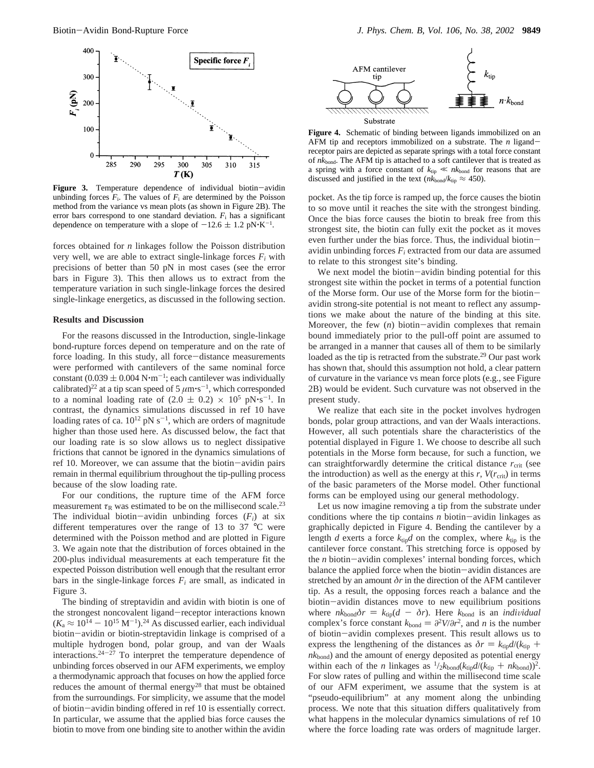

Figure 3. Temperature dependence of individual biotin-avidin unbinding forces  $F_i$ . The values of  $F_i$  are determined by the Poisson method from the variance vs mean plots (as shown in Figure 2B). The error bars correspond to one standard deviation. *F*<sup>i</sup> has a significant dependence on temperature with a slope of  $-12.6 \pm 1.2$  pN·K<sup>-1</sup>.

forces obtained for *n* linkages follow the Poisson distribution very well, we are able to extract single-linkage forces  $F_i$  with precisions of better than 50 pN in most cases (see the error bars in Figure 3). This then allows us to extract from the temperature variation in such single-linkage forces the desired single-linkage energetics, as discussed in the following section.

### **Results and Discussion**

For the reasons discussed in the Introduction, single-linkage bond-rupture forces depend on temperature and on the rate of force loading. In this study, all force-distance measurements were performed with cantilevers of the same nominal force constant (0.039  $\pm$  0.004 N·m<sup>-1</sup>; each cantilever was individually calibrated)<sup>22</sup> at a tip scan speed of 5  $\mu$ m·s<sup>-1</sup>, which corresponded to a nominal loading rate of  $(2.0 \pm 0.2) \times 10^5$  pN·s<sup>-1</sup>. In contrast, the dynamics simulations discussed in ref 10 have loading rates of ca.  $10^{12}$  pN s<sup>-1</sup>, which are orders of magnitude higher than those used here. As discussed below, the fact that our loading rate is so slow allows us to neglect dissipative frictions that cannot be ignored in the dynamics simulations of ref 10. Moreover, we can assume that the biotin-avidin pairs remain in thermal equilibrium throughout the tip-pulling process because of the slow loading rate.

For our conditions, the rupture time of the AFM force measurement  $\tau_R$  was estimated to be on the millisecond scale.<sup>23</sup> The individual biotin-avidin unbinding forces  $(F_i)$  at six different temperatures over the range of 13 to 37 °C were determined with the Poisson method and are plotted in Figure 3. We again note that the distribution of forces obtained in the 200-plus individual measurements at each temperature fit the expected Poisson distribution well enough that the resultant error bars in the single-linkage forces  $F_i$  are small, as indicated in Figure 3.

The binding of streptavidin and avidin with biotin is one of the strongest noncovalent ligand-receptor interactions known  $(K_a \approx 10^{14} - 10^{15} \text{ M}^{-1})$ .<sup>24</sup> As discussed earlier, each individual biotin-avidin or biotin-streptavidin linkage is comprised of a multiple hydrogen bond, polar group, and van der Waals interactions. $24-27$  To interpret the temperature dependence of unbinding forces observed in our AFM experiments, we employ a thermodynamic approach that focuses on how the applied force reduces the amount of thermal energy<sup>28</sup> that must be obtained from the surroundings. For simplicity, we assume that the model of biotin-avidin binding offered in ref 10 is essentially correct. In particular, we assume that the applied bias force causes the biotin to move from one binding site to another within the avidin



**Figure 4.** Schematic of binding between ligands immobilized on an AFM tip and receptors immobilized on a substrate. The *<sup>n</sup>* ligandreceptor pairs are depicted as separate springs with a total force constant of *nk*bond. The AFM tip is attached to a soft cantilever that is treated as a spring with a force constant of  $k_{\text{tip}} \ll nk_{\text{bond}}$  for reasons that are discussed and justified in the text ( $nk_{\text{bond}}/k_{\text{tip}} \approx 450$ ).

pocket. As the tip force is ramped up, the force causes the biotin to so move until it reaches the site with the strongest binding. Once the bias force causes the biotin to break free from this strongest site, the biotin can fully exit the pocket as it moves even further under the bias force. Thus, the individual biotinavidin unbinding forces  $F_i$  extracted from our data are assumed to relate to this strongest site's binding.

We next model the biotin-avidin binding potential for this strongest site within the pocket in terms of a potential function of the Morse form. Our use of the Morse form for the biotinavidin strong-site potential is not meant to reflect any assumptions we make about the nature of the binding at this site. Moreover, the few (*n*) biotin-avidin complexes that remain bound immediately prior to the pull-off point are assumed to be arranged in a manner that causes all of them to be similarly loaded as the tip is retracted from the substrate.<sup>29</sup> Our past work has shown that, should this assumption not hold, a clear pattern of curvature in the variance vs mean force plots (e.g., see Figure 2B) would be evident. Such curvature was not observed in the present study.

We realize that each site in the pocket involves hydrogen bonds, polar group attractions, and van der Waals interactions. However, all such potentials share the characteristics of the potential displayed in Figure 1. We choose to describe all such potentials in the Morse form because, for such a function, we can straightforwardly determine the critical distance  $r_{\text{crit}}$  (see the introduction) as well as the energy at this  $r$ ,  $V(r_{\text{crit}})$  in terms of the basic parameters of the Morse model. Other functional forms can be employed using our general methodology.

Let us now imagine removing a tip from the substrate under conditions where the tip contains *<sup>n</sup>* biotin-avidin linkages as graphically depicted in Figure 4. Bending the cantilever by a length *d* exerts a force  $k_{\text{tip}}d$  on the complex, where  $k_{\text{tip}}$  is the cantilever force constant. This stretching force is opposed by the *<sup>n</sup>* biotin-avidin complexes' internal bonding forces, which balance the applied force when the biotin-avidin distances are stretched by an amount  $\delta r$  in the direction of the AFM cantilever tip. As a result, the opposing forces reach a balance and the biotin-avidin distances move to new equilibrium positions where  $nk_{bond}\delta r = k_{tip}(d - \delta r)$ . Here  $k_{bond}$  is an *individual* complex's force constant  $k_{h+1} = \frac{\partial^2 V}{\partial r^2}$  and *n* is the number complex's force constant  $k_{\text{bond}} = \frac{\partial^2 V}{\partial r^2}$ , and *n* is the number<br>of biotin—avidin complexes present. This result allows us to of biotin-avidin complexes present. This result allows us to express the lengthening of the distances as  $\delta r = k_{\text{tip}} d / (k_{\text{tip}} + k_{\text{tip}})$ *nk*bond) and the amount of energy deposited as potential energy within each of the *n* linkages as  $\frac{1}{2}k_{\text{bond}}(k_{\text{tip}}d/(k_{\text{tip}} + nk_{\text{bond}}))^2$ . For slow rates of pulling and within the millisecond time scale of our AFM experiment, we assume that the system is at "pseudo-equilibrium" at any moment along the unbinding process. We note that this situation differs qualitatively from what happens in the molecular dynamics simulations of ref 10 where the force loading rate was orders of magnitude larger.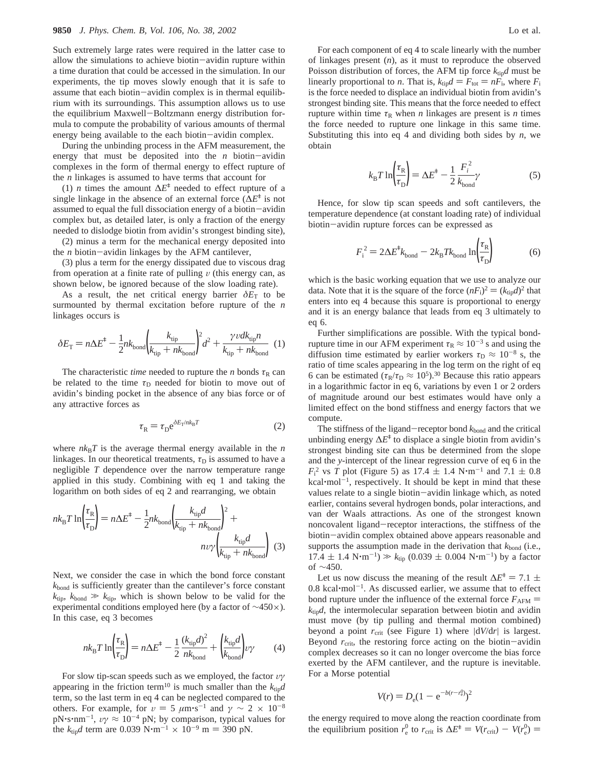Such extremely large rates were required in the latter case to allow the simulations to achieve biotin-avidin rupture within a time duration that could be accessed in the simulation. In our experiments, the tip moves slowly enough that it is safe to assume that each biotin-avidin complex is in thermal equilibrium with its surroundings. This assumption allows us to use the equilibrium Maxwell-Boltzmann energy distribution formula to compute the probability of various amounts of thermal energy being available to the each biotin-avidin complex.

During the unbinding process in the AFM measurement, the energy that must be deposited into the  $n$  biotin-avidin complexes in the form of thermal energy to effect rupture of the *n* linkages is assumed to have terms that account for

(1) *n* times the amount  $\Delta E^{\ddagger}$  needed to effect rupture of a single linkage in the absence of an external force ( $\Delta E^{\ddagger}$  is not assumed to equal the full dissociation energy of a biotin-avidin complex but, as detailed later, is only a fraction of the energy needed to dislodge biotin from avidin's strongest binding site),

(2) minus a term for the mechanical energy deposited into the *<sup>n</sup>* biotin-avidin linkages by the AFM cantilever,

(3) plus a term for the energy dissipated due to viscous drag from operation at a finite rate of pulling  $\nu$  (this energy can, as shown below, be ignored because of the slow loading rate).

As a result, the net critical energy barrier  $\delta E$ <sub>T</sub> to be surmounted by thermal excitation before rupture of the *n* linkages occurs is

$$
\delta E_{\rm T} = n\Delta E^{\dagger} - \frac{1}{2}nk_{\rm bond} \left(\frac{k_{\rm tip}}{k_{\rm tip} + nk_{\rm bond}}\right)^2 d^2 + \frac{\gamma vdk_{\rm tip}n}{k_{\rm tip} + nk_{\rm bond}} \tag{1}
$$

The characteristic *time* needed to rupture the *n* bonds  $\tau_R$  can be related to the time *τ*<sub>D</sub> needed for biotin to move out of avidin's binding pocket in the absence of any bias force or of any attractive forces as

$$
\tau_{\rm R} = \tau_{\rm D} e^{\delta E_{\rm T}/nk_{\rm B}T} \tag{2}
$$

where  $nk_BT$  is the average thermal energy available in the *n* linkages. In our theoretical treatments,  $\tau_D$  is assumed to have a negligible *T* dependence over the narrow temperature range applied in this study. Combining with eq 1 and taking the logarithm on both sides of eq 2 and rearranging, we obtain

$$
nk_{\rm B}T \ln \left(\frac{\tau_{\rm R}}{\tau_{\rm D}}\right) = n\Delta E^* - \frac{1}{2}nk_{\rm bond} \left(\frac{k_{\rm tip}d}{k_{\rm tip} + nk_{\rm bond}}\right)^2 + n\nu\gamma \left(\frac{k_{\rm tip}d}{k_{\rm tip} + nk_{\rm bond}}\right) \tag{3}
$$

Next, we consider the case in which the bond force constant *k*bond is sufficiently greater than the cantilever's force constant  $k_{\text{tip}}$ ,  $k_{\text{bond}} \gg k_{\text{tip}}$ , which is shown below to be valid for the experimental conditions employed here (by a factor of ∼450×). In this case, eq 3 becomes

$$
nk_{\rm B}T\ln\left(\frac{\tau_{\rm R}}{\tau_{\rm D}}\right) = n\Delta E^* - \frac{1}{2}\frac{(k_{\rm tip}d)^2}{nk_{\rm bond}} + \left(\frac{k_{\rm tip}d}{k_{\rm bond}}\right)\nu\gamma\tag{4}
$$

For slow tip-scan speeds such as we employed, the factor  $νγ$ appearing in the friction term<sup>10</sup> is much smaller than the  $k_{\text{tip}}d$ term, so the last term in eq 4 can be neglected compared to the others. For example, for  $v = 5 \mu m \cdot s^{-1}$  and  $\gamma \sim 2 \times 10^{-8}$ pN $\cdot$ s $\cdot$ nm<sup>-1</sup>,  $\nu\gamma \approx 10^{-4}$  pN; by comparison, typical values for the  $k_{\text{tip}}d$  term are 0.039 N·m<sup>-1</sup>  $\times$  10<sup>-9</sup> m = 390 pN.

For each component of eq 4 to scale linearly with the number of linkages present (*n*), as it must to reproduce the observed Poisson distribution of forces, the AFM tip force  $k_{\text{tip}}d$  must be linearly proportional to *n*. That is,  $k_{\text{tip}}d = F_{\text{tot}} = n\overline{F}_i$ , where  $F_i$ is the force needed to displace an individual biotin from avidin's strongest binding site. This means that the force needed to effect rupture within time  $τ_R$  when *n* linkages are present is *n* times the force needed to rupture one linkage in this same time. Substituting this into eq 4 and dividing both sides by *n*, we obtain

$$
k_{\rm B}T\ln\left(\frac{\tau_{\rm R}}{\tau_{\rm D}}\right) = \Delta E^* - \frac{1}{2}\frac{F_i^2}{k_{\rm bond}}\gamma\tag{5}
$$

Hence, for slow tip scan speeds and soft cantilevers, the temperature dependence (at constant loading rate) of individual biotin-avidin rupture forces can be expressed as

$$
F_{\rm i}^2 = 2\Delta E^{\dagger} k_{\rm bond} - 2k_{\rm B} T k_{\rm bond} \ln \left( \frac{\tau_{\rm R}}{\tau_{\rm D}} \right) \tag{6}
$$

*τ*R

which is the basic working equation that we use to analyze our data. Note that it is the square of the force  $(nF_i)^2 = (k_{\text{tip}}d)^2$  that enters into eq 4 because this square is proportional to energy and it is an energy balance that leads from eq 3 ultimately to eq 6.

Further simplifications are possible. With the typical bondrupture time in our AFM experiment  $\tau_R \approx 10^{-3}$  s and using the diffusion time estimated by earlier workers  $\tau_D \approx 10^{-8}$  s, the ratio of time scales appearing in the log term on the right of eq 6 can be estimated  $(\tau_R/\tau_D \approx 10^5)$ .<sup>30</sup> Because this ratio appears in a logarithmic factor in eq 6, variations by even 1 or 2 orders of magnitude around our best estimates would have only a limited effect on the bond stiffness and energy factors that we compute.

The stiffness of the ligand-receptor bond  $k_{bond}$  and the critical unbinding energy  $\Delta E^{\dagger}$  to displace a single biotin from avidin's strongest binding site can thus be determined from the slope and the *y*-intercept of the linear regression curve of eq 6 in the  $F_1^2$  vs *T* plot (Figure 5) as  $17.4 \pm 1.4$  N'm<sup>-1</sup> and  $7.1 \pm 0.8$ <br>kcal·mol<sup>-1</sup> respectively. It should be kent in mind that these  $kcal$  mol<sup>-1</sup>, respectively. It should be kept in mind that these values relate to a single biotin-avidin linkage which, as noted earlier, contains several hydrogen bonds, polar interactions, and van der Waals attractions. As one of the strongest known noncovalent ligand-receptor interactions, the stiffness of the biotin-avidin complex obtained above appears reasonable and supports the assumption made in the derivation that  $k_{bond}$  (i.e.,  $17.4 \pm 1.4 \text{ N} \cdot \text{m}^{-1}$ )  $\gg k_{\text{tip}}$  (0.039  $\pm$  0.004 N $\cdot$ m<sup>-1</sup>) by a factor of ∼450.

Let us now discuss the meaning of the result  $\Delta E^{\ddagger} = 7.1 \pm$  $0.8 \text{ kcal·mol}^{-1}$ . As discussed earlier, we assume that to effect bond rupture under the influence of the external force  $F_{\text{AFM}} =$ *k*tip*d*, the intermolecular separation between biotin and avidin must move (by tip pulling and thermal motion combined) beyond a point  $r_{\text{crit}}$  (see Figure 1) where  $|dV/dr|$  is largest. Beyond  $r_{\text{crit}}$ , the restoring force acting on the biotin-avidin complex decreases so it can no longer overcome the bias force exerted by the AFM cantilever, and the rupture is inevitable. For a Morse potential

$$
V(r) = D_e (1 - e^{-b(r - r_e^0)})^2
$$

the energy required to move along the reaction coordinate from the equilibrium position  $r_e^0$  to  $r_{\text{crit}}$  is  $\Delta E^{\ddagger} = V(r_{\text{crit}}) - V(r_e^0) =$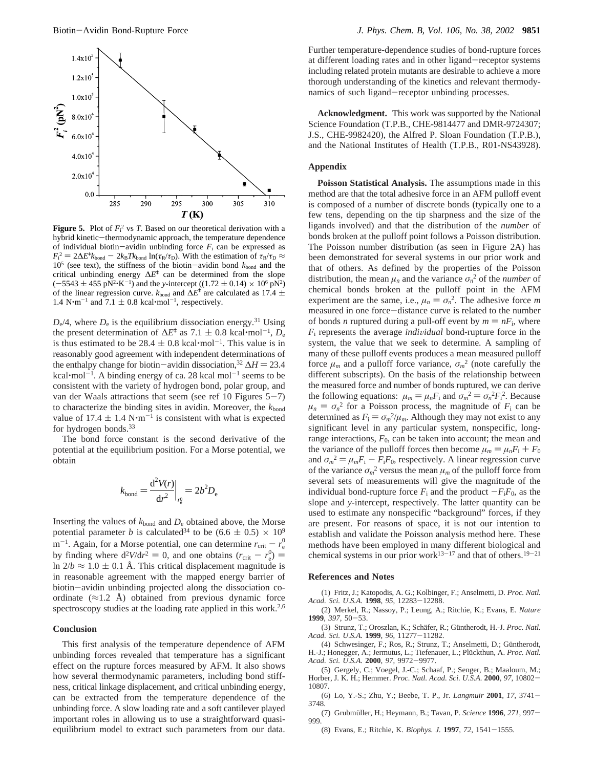

**Figure 5.** Plot of  $F_1^2$  vs *T*. Based on our theoretical derivation with a hybrid kinetic-thermodynamic approach, the temperature dependence of individual biotin-avidin unbinding force  $F_i$  can be expressed as  $F_1^2 = 2\Delta E^{\dagger} k_{\text{bond}} - 2k_B T k_{\text{bond}} \ln(\tau_R/\tau_D)$ . With the estimation of  $\tau_R/\tau_D \approx 10^5$  (see text), the stiffness of the biotin-avidin bond  $k_{\text{head}}$  and the <sup>105</sup> (see text), the stiffness of the biotin-avidin bond *<sup>k</sup>*bond and the critical unbinding energy  $\Delta E^{\ddagger}$  can be determined from the slope  $(-5543 \pm 455 \text{ pN}^2 \cdot \text{K}^{-1})$  and the y-intercept  $((1.72 \pm 0.14) \times 10^6 \text{ pN}^2)$ <br>of the linear regression curve  $k_{\text{heat}}$  and  $\Delta F^*$  are calculated as 17.4 + of the linear regression curve.  $k_{bond}$  and  $\Delta E^*$  are calculated as 17.4  $\pm$  $1.4 \text{ N} \cdot \text{m}^{-1}$  and  $7.1 \pm 0.8 \text{ kcal} \cdot \text{mol}^{-1}$ , respectively.

 $D_e/4$ , where  $D_e$  is the equilibrium dissociation energy.<sup>31</sup> Using the present determination of  $\Delta E^{\ddagger}$  as 7.1  $\pm$  0.8 kcal·mol<sup>-1</sup>,  $D_{\rm e}$ is thus estimated to be  $28.4 \pm 0.8$  kcal·mol<sup>-1</sup>. This value is in reasonably good agreement with independent determinations of the enthalpy change for biotin-avidin dissociation,<sup>32</sup>  $\Delta H = 23.4$ kcal $\cdot$ mol<sup>-1</sup>. A binding energy of ca. 28 kcal mol<sup>-1</sup> seems to be consistent with the variety of hydrogen bond, polar group, and van der Waals attractions that seem (see ref 10 Figures 5-7) to characterize the binding sites in avidin. Moreover, the  $k_{\text{bond}}$ value of 17.4  $\pm$  1.4 N·m<sup>-1</sup> is consistent with what is expected for hydrogen bonds.33

The bond force constant is the second derivative of the potential at the equilibrium position. For a Morse potential, we obtain

$$
k_{\text{bond}} = \frac{d^2 V(r)}{dr^2}\Big|_{r_e^0} = 2b^2 D_e
$$

Inserting the values of  $k_{\text{bond}}$  and  $D_{\text{e}}$  obtained above, the Morse potential parameter *b* is calculated<sup>34</sup> to be (6.6  $\pm$  0.5)  $\times$  10<sup>9</sup> m<sup>-1</sup>. Again, for a Morse potential, one can determine  $r_{\text{crit}} - r_{\text{e}}^0$ by finding where  $d^2V/dr^2 = 0$ , and one obtains  $(r_{\text{crit}} - r_e^0) =$ <br>ln  $2/h \approx 1.0 + 0.1$  Å This critical displacement magnitude is ln  $2/b \approx 1.0 \pm 0.1$  Å. This critical displacement magnitude is in reasonable agreement with the mapped energy barrier of biotin-avidin unbinding projected along the dissociation coordinate  $(\approx 1.2 \text{ A})$  obtained from previous dynamic force spectroscopy studies at the loading rate applied in this work.<sup>2,6</sup>

#### **Conclusion**

This first analysis of the temperature dependence of AFM unbinding forces revealed that temperature has a significant effect on the rupture forces measured by AFM. It also shows how several thermodynamic parameters, including bond stiffness, critical linkage displacement, and critical unbinding energy, can be extracted from the temperature dependence of the unbinding force. A slow loading rate and a soft cantilever played important roles in allowing us to use a straightforward quasiequilibrium model to extract such parameters from our data. Further temperature-dependence studies of bond-rupture forces at different loading rates and in other ligand-receptor systems including related protein mutants are desirable to achieve a more thorough understanding of the kinetics and relevant thermodynamics of such ligand-receptor unbinding processes.

**Acknowledgment.** This work was supported by the National Science Foundation (T.P.B., CHE-9814477 and DMR-9724307; J.S., CHE-9982420), the Alfred P. Sloan Foundation (T.P.B.), and the National Institutes of Health (T.P.B., R01-NS43928).

## **Appendix**

**Poisson Statistical Analysis.** The assumptions made in this method are that the total adhesive force in an AFM pulloff event is composed of a number of discrete bonds (typically one to a few tens, depending on the tip sharpness and the size of the ligands involved) and that the distribution of the *number* of bonds broken at the pulloff point follows a Poisson distribution. The Poisson number distribution (as seen in Figure 2A) has been demonstrated for several systems in our prior work and that of others. As defined by the properties of the Poisson distribution, the mean  $\mu_n$  and the variance  $\sigma_n^2$  of the *number* of chemical bonds broken at the pulloff point in the AFM experiment are the same, i.e.,  $\mu_n = \sigma_n^2$ . The adhesive force *m* measured in one force—distance curve is related to the number measured in one force-distance curve is related to the number of bonds *n* ruptured during a pull-off event by  $m = nF_i$ , where  $F_i$  represents the average *individual* bond-rupture force in the system, the value that we seek to determine. A sampling of many of these pulloff events produces a mean measured pulloff force  $\mu_m$  and a pulloff force variance,  $\sigma_m^2$  (note carefully the different subscripts). On the basis of the relationship between the measured force and number of bonds ruptured, we can derive the following equations:  $\mu_m = \mu_n F_i$  and  $\sigma_m^2 = \sigma_n^2 F_i^2$ . Because  $\mu = \sigma^2$  for a Poisson process the magnitude of *F* can be  $\mu_n = \sigma_n^2$  for a Poisson process, the magnitude of  $F_i$  can be determined as  $F = \sigma^2/\mu$ . Although they may not exist to any determined as  $F_i = \sigma_m^2/\mu_m$ . Although they may not exist to any significant level in any particular system, nonspecific, longrange interactions,  $F_0$ , can be taken into account; the mean and the variance of the pulloff forces then become  $\mu_m = \mu_n F_i + F_0$ and  $\sigma_m^2 = \mu_m F_i - F_i F_0$ , respectively. A linear regression curve of the variance  $\sigma_m^2$  versus the mean  $\mu_m$  of the pulloff force from several sets of measurements will give the magnitude of the individual bond-rupture force  $F_i$  and the product  $-F_iF_0$ , as the slope and *y*-intercept, respectively. The latter quantity can be used to estimate any nonspecific "background" forces, if they are present. For reasons of space, it is not our intention to establish and validate the Poisson analysis method here. These methods have been employed in many different biological and chemical systems in our prior work $13-17$  and that of others.  $19-21$ 

#### **References and Notes**

(1) Fritz, J.; Katopodis, A. G.; Kolbinger, F.; Anselmetti, D. *Proc. Natl. Acad. Sci. U.S.A.* **<sup>1998</sup>**, *<sup>95</sup>*, 12283-12288.

(2) Merkel, R.; Nassoy, P.; Leung, A.; Ritchie, K.; Evans, E. *Nature* **<sup>1999</sup>**, *<sup>397</sup>*, 50-53.

(3) Strunz, T.; Oroszlan, K.; Schäfer, R.; Güntherodt, H.-J. Proc. Natl. *Acad. Sci. U.S.A.* **<sup>1999</sup>**, *<sup>96</sup>*, 11277-11282.

(4) Schwesinger, F.; Ros, R.; Strunz, T.; Anselmetti, D.; Güntherodt, H.-J.; Honegger, A.; Jermutus, L.; Tiefenauer, L.; Plückthun, A. *Proc. Natl. Acad. Sci. U.S.A.* **<sup>2000</sup>**, *<sup>97</sup>*, 9972-9977.

(5) Gergely, C.; Voegel, J.-C.; Schaaf, P.; Senger, B.; Maaloum, M.; Horber, J. K. H.; Hemmer. *Proc. Natl. Acad. Sci. U.S.A.* **<sup>2000</sup>**, *<sup>97</sup>*, 10802- 10807.

(6) Lo, Y.-S.; Zhu, Y.; Beebe, T. P., Jr. *Langmuir* **<sup>2001</sup>**, *<sup>17</sup>*, 3741- 3748.

(7) Grubmu¨ller, H.; Heymann, B.; Tavan, P. *Science* **<sup>1996</sup>**, *<sup>271</sup>*, 997- 999.

(8) Evans, E.; Ritchie, K. *Biophys. J.* **<sup>1997</sup>**, *<sup>72</sup>*, 1541-1555.